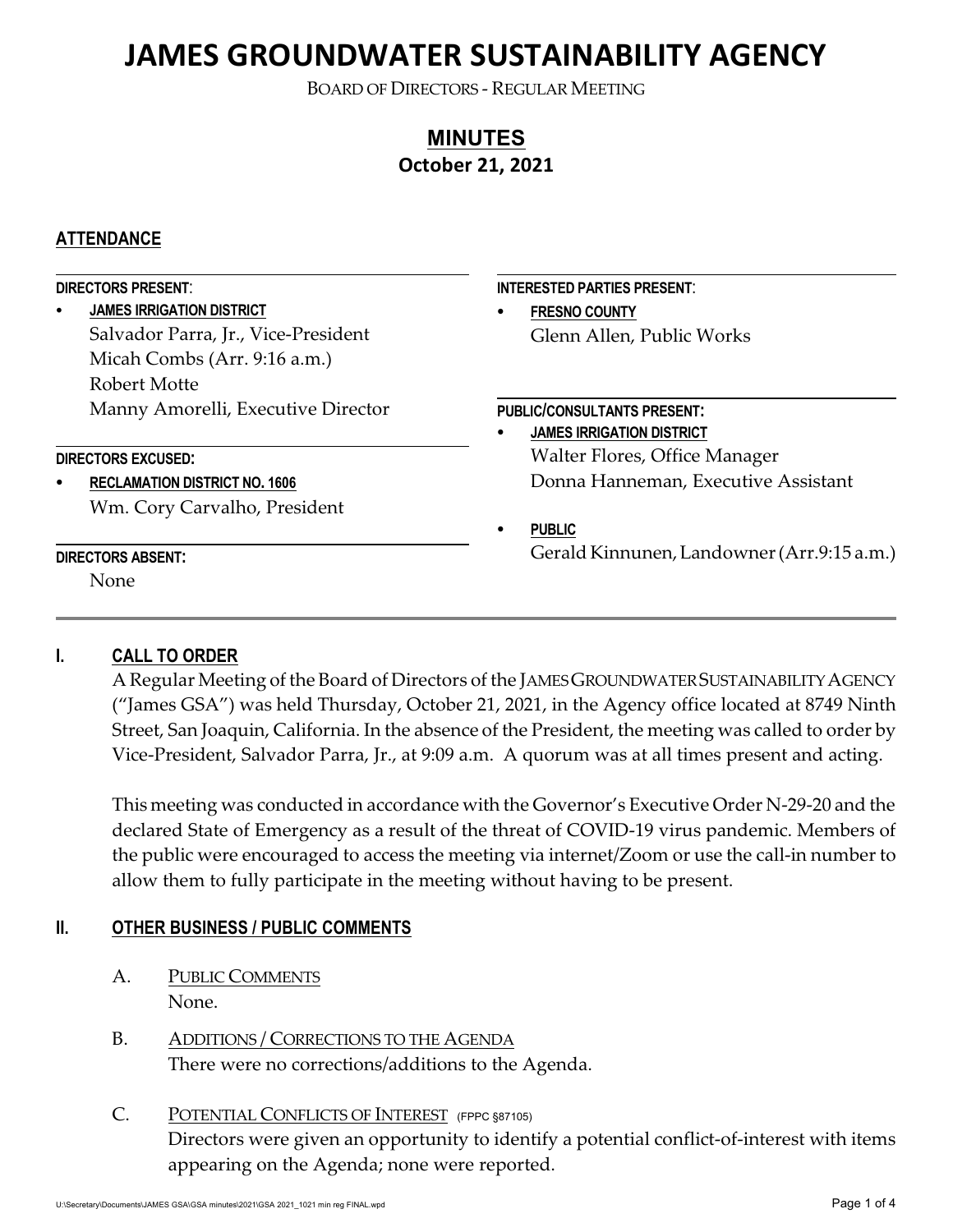BOARD OF DIRECTORS - REGULAR MEETING

# **MINUTES October 21, 2021**

### **ATTENDANCE**

| <b>DIRECTORS PRESENT:</b> |                                      |   | <b>INTERESTED PARTIES PRESENT:</b>         |  |
|---------------------------|--------------------------------------|---|--------------------------------------------|--|
|                           | <b>JAMES IRRIGATION DISTRICT</b>     | ٠ | <b>FRESNO COUNTY</b>                       |  |
|                           | Salvador Parra, Jr., Vice-President  |   | Glenn Allen, Public Works                  |  |
|                           | Micah Combs (Arr. 9:16 a.m.)         |   |                                            |  |
|                           | Robert Motte                         |   |                                            |  |
|                           | Manny Amorelli, Executive Director   |   | <b>PUBLIC/CONSULTANTS PRESENT:</b>         |  |
|                           |                                      | ٠ | <b>JAMES IRRIGATION DISTRICT</b>           |  |
| <b>DIRECTORS EXCUSED:</b> |                                      |   | Walter Flores, Office Manager              |  |
|                           | <b>RECLAMATION DISTRICT NO. 1606</b> |   | Donna Hanneman, Executive Assistant        |  |
|                           | Wm. Cory Carvalho, President         |   |                                            |  |
|                           |                                      | ٠ | <b>PUBLIC</b>                              |  |
| <b>DIRECTORS ABSENT:</b>  |                                      |   | Gerald Kinnunen, Landowner (Arr.9:15 a.m.) |  |
|                           | None.                                |   |                                            |  |
|                           |                                      |   |                                            |  |

### **I. CALL TO ORDER**

A Regular Meeting of the Board of Directors of the JAMES GROUNDWATER SUSTAINABILITY AGENCY ("James GSA") was held Thursday, October 21, 2021, in the Agency office located at 8749 Ninth Street, San Joaquin, California. In the absence of the President, the meeting was called to order by Vice-President, Salvador Parra, Jr., at 9:09 a.m. A quorum was at all times present and acting.

This meeting was conducted in accordance with the Governor's Executive Order N-29-20 and the declared State of Emergency as a result of the threat of COVID-19 virus pandemic. Members of the public were encouraged to access the meeting via internet/Zoom or use the call-in number to allow them to fully participate in the meeting without having to be present.

### **II. OTHER BUSINESS / PUBLIC COMMENTS**

- A. PUBLIC COMMENTS None.
- B. ADDITIONS / CORRECTIONS TO THE AGENDA There were no corrections/additions to the Agenda.

# C. POTENTIAL CONFLICTS OF INTEREST (FPPC §87105) Directors were given an opportunity to identify a potential conflict-of-interest with items appearing on the Agenda; none were reported.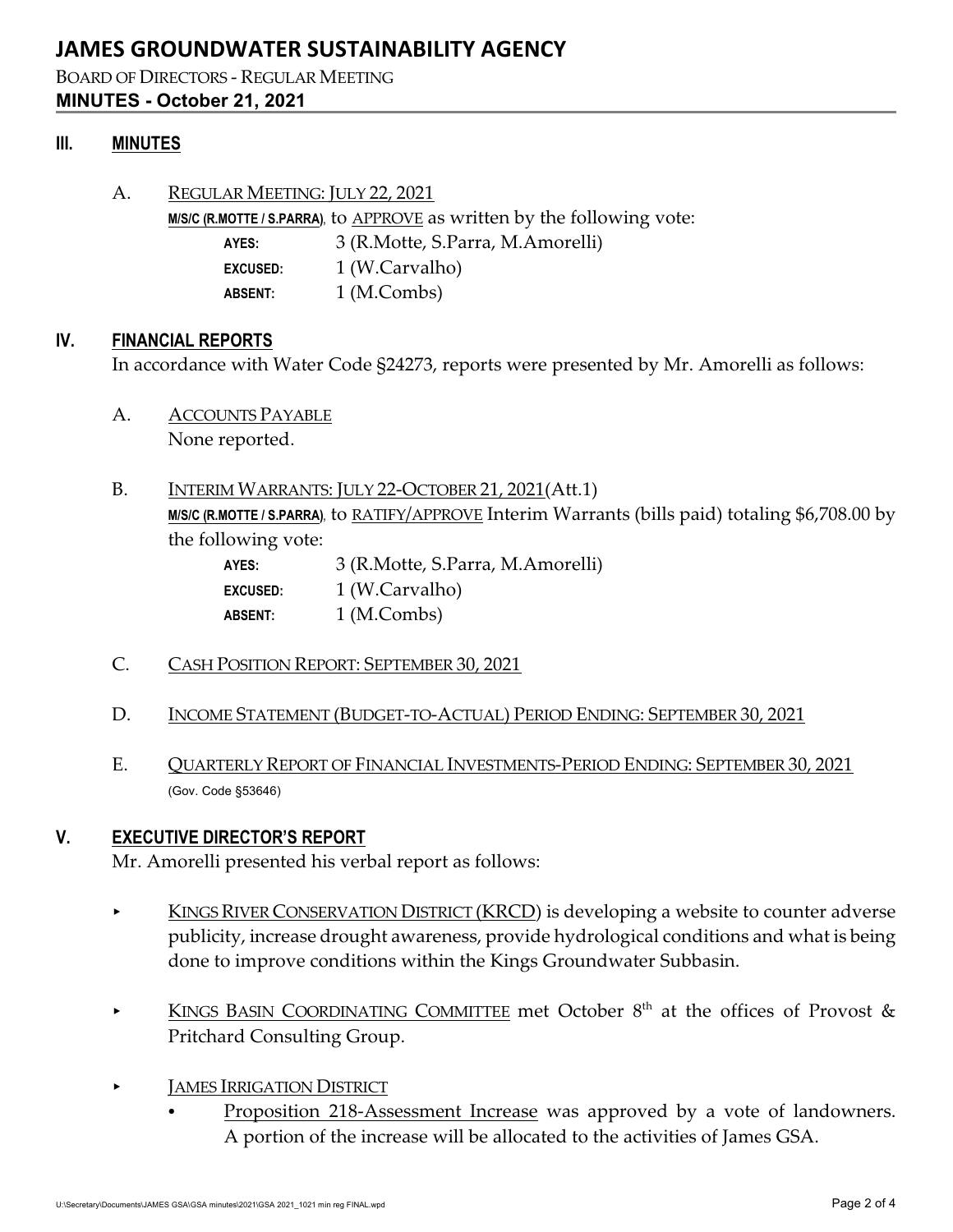#### BOARD OF DIRECTORS - REGULAR MEETING **MINUTES - October 21, 2021**

#### **III. MINUTES**

A. REGULAR MEETING: JULY 22, 2021 **M/S/C (R.MOTTE / S.PARRA), to APPROVE as written by the following vote: AYES:** 3 (R.Motte, S.Parra, M.Amorelli) **EXCUSED:** 1 (W.Carvalho) **ABSENT:** 1 (M.Combs)

#### **IV. FINANCIAL REPORTS**

In accordance with Water Code §24273, reports were presented by Mr. Amorelli as follows:

- A. ACCOUNTS PAYABLE None reported.
- B. INTERIM WARRANTS: JULY 22-OCTOBER 21, 2021(Att.1) M/S/C (R.MOTTE / S.PARRA), to RATIFY/APPROVE Interim Warrants (bills paid) totaling \$6,708.00 by the following vote:

| AYES:           | 3 (R.Motte, S.Parra, M.Amorelli) |
|-----------------|----------------------------------|
| <b>EXCUSED:</b> | 1 (W.Carvalho)                   |
| <b>ABSENT:</b>  | 1 (M.Combs)                      |

- C. CASH POSITION REPORT: SEPTEMBER 30, 2021
- D. INCOME STATEMENT (BUDGET-TO-ACTUAL) PERIOD ENDING: SEPTEMBER 30, 2021
- E. QUARTERLY REPORT OF FINANCIAL INVESTMENTS-PERIOD ENDING: SEPTEMBER 30, 2021 (Gov. Code §53646)

#### **V. EXECUTIVE DIRECTOR'S REPORT**

Mr. Amorelli presented his verbal report as follows:

- KINGS RIVER CONSERVATION DISTRICT (KRCD) is developing a website to counter adverse publicity, increase drought awareness, provide hydrological conditions and what is being done to improve conditions within the Kings Groundwater Subbasin.
- **KINGS BASIN COORDINATING COMMITTEE met October 8<sup>th</sup> at the offices of Provost &** Pritchard Consulting Group.
- < JAMES IRRIGATION DISTRICT
	- Proposition 218-Assessment Increase was approved by a vote of landowners. A portion of the increase will be allocated to the activities of James GSA.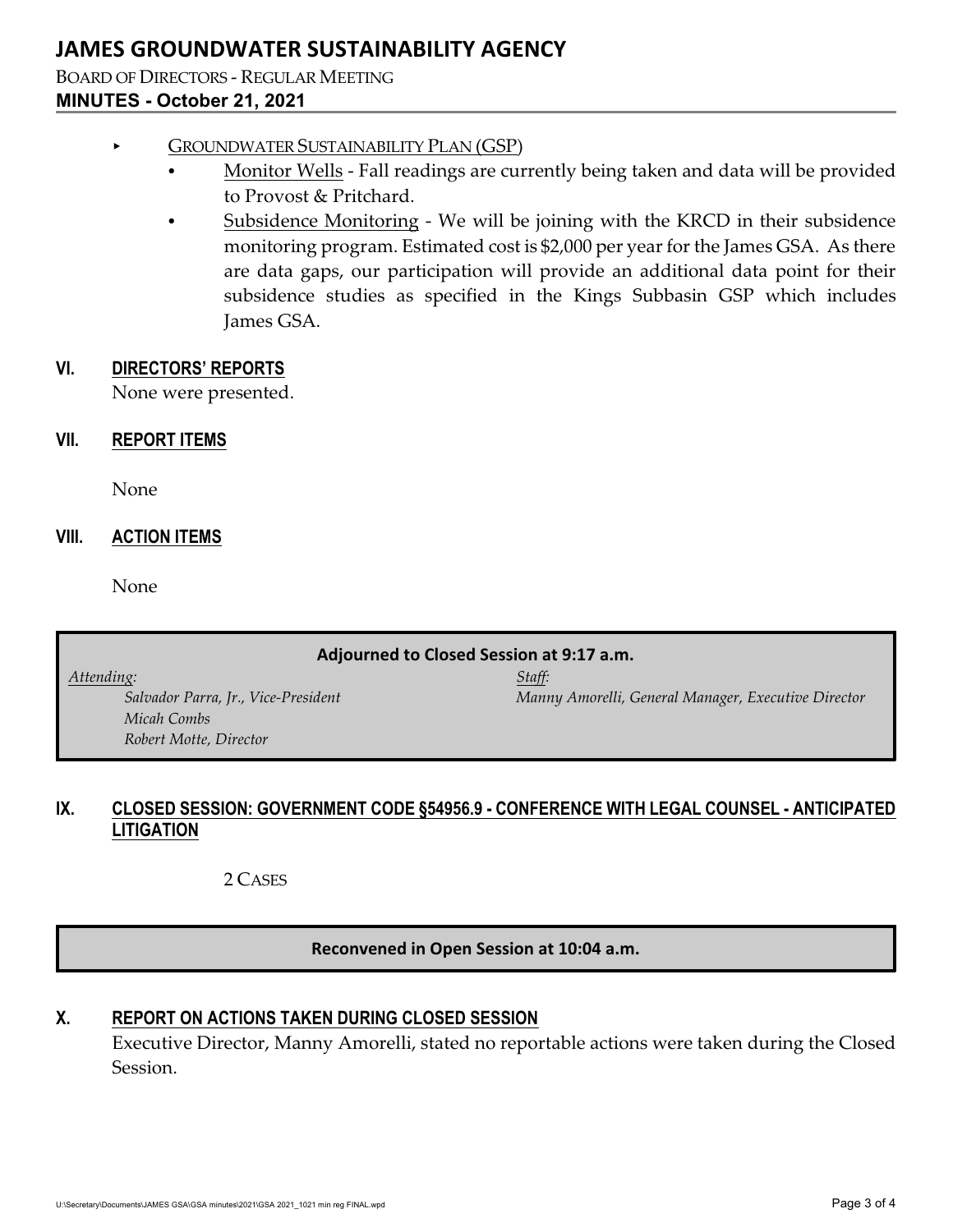BOARD OF DIRECTORS - REGULAR MEETING **MINUTES - October 21, 2021**

#### < GROUNDWATER SUSTAINABILITY PLAN (GSP)

- Monitor Wells Fall readings are currently being taken and data will be provided to Provost & Pritchard.
- Subsidence Monitoring We will be joining with the KRCD in their subsidence monitoring program. Estimated cost is \$2,000 per year for the James GSA. As there are data gaps, our participation will provide an additional data point for their subsidence studies as specified in the Kings Subbasin GSP which includes James GSA.

#### **VI. DIRECTORS' REPORTS**

None were presented.

#### **VII. REPORT ITEMS**

None

#### **VIII. ACTION ITEMS**

None

#### **Adjourned to Closed Session at 9:17 a.m.**

*Attending: Staff: Micah Combs Robert Motte, Director*

*Salvador Parra, Jr., Vice-President Manny Amorelli, General Manager, Executive Director*

### **IX. CLOSED SESSION: GOVERNMENT CODE §54956.9 - CONFERENCE WITH LEGAL COUNSEL - ANTICIPATED LITIGATION**

2 CASES

#### **Reconvened in Open Session at 10:04 a.m.**

### **X. REPORT ON ACTIONS TAKEN DURING CLOSED SESSION**

Executive Director, Manny Amorelli, stated no reportable actions were taken during the Closed Session.